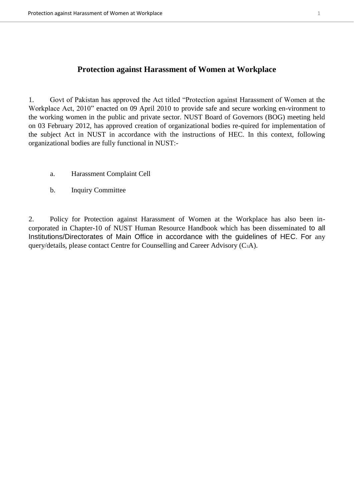## **Protection against Harassment of Women at Workplace**

1. Govt of Pakistan has approved the Act titled "Protection against Harassment of Women at the Workplace Act, 2010" enacted on 09 April 2010 to provide safe and secure working en-vironment to the working women in the public and private sector. NUST Board of Governors (BOG) meeting held on 03 February 2012, has approved creation of organizational bodies re-quired for implementation of the subject Act in NUST in accordance with the instructions of HEC. In this context, following organizational bodies are fully functional in NUST:-

- a. Harassment Complaint Cell
- b. Inquiry Committee

2. Policy for Protection against Harassment of Women at the Workplace has also been incorporated in Chapter-10 of NUST Human Resource Handbook which has been disseminated to all Institutions/Directorates of Main Office in accordance with the guidelines of HEC. For any query/details, please contact Centre for Counselling and Career Advisory (C3A).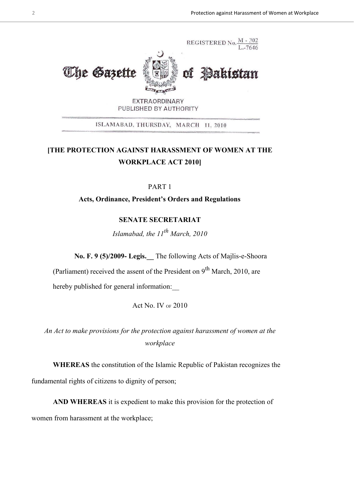REGISTERED No.  $\frac{M - 302}{L - 7646}$ 





**EXTRAORDINARY** PUBLISHED BY AUTHORITY

ISLAMABAD, THURSDAY, MARCH 11, 2010

## **[THE PROTECTION AGAINST HARASSMENT OF WOMEN AT THE WORKPLACE ACT 2010]**

### PART 1

**Acts, Ordinance, President's Orders and Regulations**

### **SENATE SECRETARIAT**

*Islamabad, the 11th March, 2010*

**No. F. 9 (5)/2009- Legis.\_\_** The following Acts of Majlis-e-Shoora

(Parliament) received the assent of the President on  $9<sup>th</sup>$  March, 2010, are hereby published for general information:\_\_

Act No. IV OF 2010

*An Act to make provisions for the protection against harassment of women at the workplace*

**WHEREAS** the constitution of the Islamic Republic of Pakistan recognizes the fundamental rights of citizens to dignity of person;

**AND WHEREAS** it is expedient to make this provision for the protection of women from harassment at the workplace;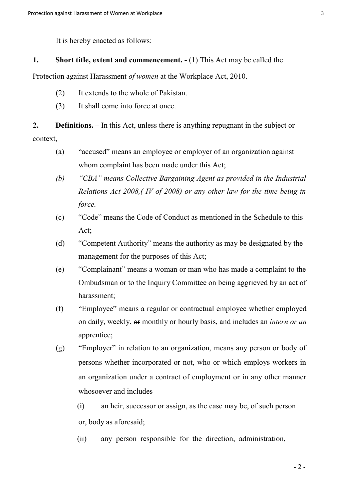It is hereby enacted as follows:

## **1. Short title, extent and commencement. -** (1) This Act may be called the

Protection against Harassment *of women* at the Workplace Act, 2010.

- (2) It extends to the whole of Pakistan.
- (3) It shall come into force at once.

**2. Definitions. –** In this Act, unless there is anything repugnant in the subject or context,–

- (a) "accused" means an employee or employer of an organization against whom complaint has been made under this Act;
- *(b) "CBA" means Collective Bargaining Agent as provided in the Industrial Relations Act 2008,( IV of 2008) or any other law for the time being in force.*
- (c) "Code" means the Code of Conduct as mentioned in the Schedule to this Act;
- (d) "Competent Authority" means the authority as may be designated by the management for the purposes of this Act;
- (e) "Complainant" means a woman or man who has made a complaint to the Ombudsman or to the Inquiry Committee on being aggrieved by an act of harassment;
- (f) "Employee" means a regular or contractual employee whether employed on daily, weekly, or monthly or hourly basis, and includes an *intern or an* apprentice;
- (g) "Employer" in relation to an organization, means any person or body of persons whether incorporated or not, who or which employs workers in an organization under a contract of employment or in any other manner whosoever and includes –
	- (i) an heir, successor or assign, as the case may be, of such person or, body as aforesaid;
	- (ii) any person responsible for the direction, administration,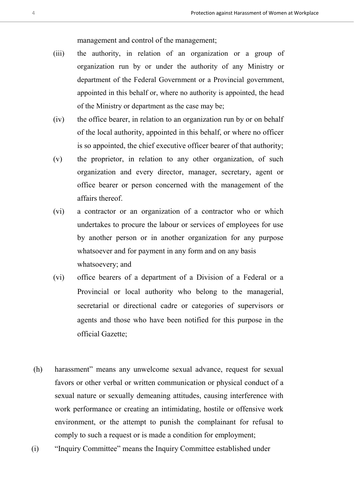management and control of the management;

- (iii) the authority, in relation of an organization or a group of organization run by or under the authority of any Ministry or department of the Federal Government or a Provincial government, appointed in this behalf or, where no authority is appointed, the head of the Ministry or department as the case may be;
- (iv) the office bearer, in relation to an organization run by or on behalf of the local authority, appointed in this behalf, or where no officer is so appointed, the chief executive officer bearer of that authority;
- (v) the proprietor, in relation to any other organization, of such organization and every director, manager, secretary, agent or office bearer or person concerned with the management of the affairs thereof.
- (vi) a contractor or an organization of a contractor who or which undertakes to procure the labour or services of employees for use by another person or in another organization for any purpose whatsoever and for payment in any form and on any basis whatsoevery; and
- (vi) office bearers of a department of a Division of a Federal or a Provincial or local authority who belong to the managerial, secretarial or directional cadre or categories of supervisors or agents and those who have been notified for this purpose in the official Gazette;
- (h) harassment" means any unwelcome sexual advance, request for sexual favors or other verbal or written communication or physical conduct of a sexual nature or sexually demeaning attitudes, causing interference with work performance or creating an intimidating, hostile or offensive work environment, or the attempt to punish the complainant for refusal to comply to such a request or is made a condition for employment;
- (i) "Inquiry Committee" means the Inquiry Committee established under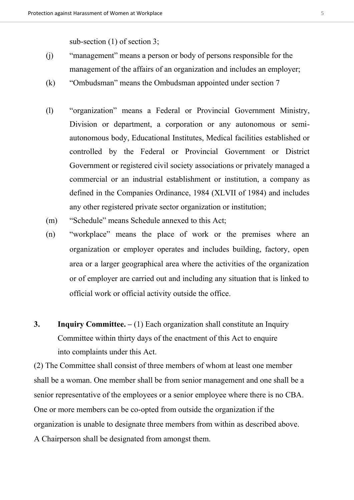sub-section (1) of section 3;

- (j) "management" means a person or body of persons responsible for the management of the affairs of an organization and includes an employer;
- (k) "Ombudsman" means the Ombudsman appointed under section 7
- (l) "organization" means a Federal or Provincial Government Ministry, Division or department, a corporation or any autonomous or semiautonomous body, Educational Institutes, Medical facilities established or controlled by the Federal or Provincial Government or District Government or registered civil society associations or privately managed a commercial or an industrial establishment or institution, a company as defined in the Companies Ordinance, 1984 (XLVII of 1984) and includes any other registered private sector organization or institution;
- (m) "Schedule" means Schedule annexed to this Act;
- (n) "workplace" means the place of work or the premises where an organization or employer operates and includes building, factory, open area or a larger geographical area where the activities of the organization or of employer are carried out and including any situation that is linked to official work or official activity outside the office.
- **3. Inquiry Committee. –** (1) Each organization shall constitute an Inquiry Committee within thirty days of the enactment of this Act to enquire into complaints under this Act.

(2) The Committee shall consist of three members of whom at least one member shall be a woman. One member shall be from senior management and one shall be a senior representative of the employees or a senior employee where there is no CBA. One or more members can be co-opted from outside the organization if the organization is unable to designate three members from within as described above. A Chairperson shall be designated from amongst them.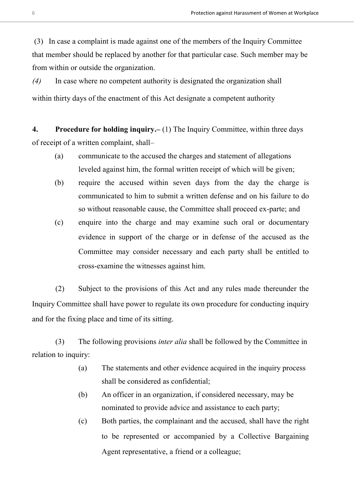(3) In case a complaint is made against one of the members of the Inquiry Committee that member should be replaced by another for that particular case. Such member may be from within or outside the organization.

*(4)* In case where no competent authority is designated the organization shall within thirty days of the enactment of this Act designate a competent authority

**4. Procedure for holding inquiry.–** (1) The Inquiry Committee, within three days of receipt of a written complaint, shall–

- (a) communicate to the accused the charges and statement of allegations leveled against him, the formal written receipt of which will be given;
- (b) require the accused within seven days from the day the charge is communicated to him to submit a written defense and on his failure to do so without reasonable cause, the Committee shall proceed ex-parte; and
- (c) enquire into the charge and may examine such oral or documentary evidence in support of the charge or in defense of the accused as the Committee may consider necessary and each party shall be entitled to cross-examine the witnesses against him.

(2) Subject to the provisions of this Act and any rules made thereunder the Inquiry Committee shall have power to regulate its own procedure for conducting inquiry and for the fixing place and time of its sitting.

(3) The following provisions *inter alia* shall be followed by the Committee in relation to inquiry:

- (a) The statements and other evidence acquired in the inquiry process shall be considered as confidential;
- (b) An officer in an organization, if considered necessary, may be nominated to provide advice and assistance to each party;
- (c) Both parties, the complainant and the accused, shall have the right to be represented or accompanied by a Collective Bargaining Agent representative, a friend or a colleague;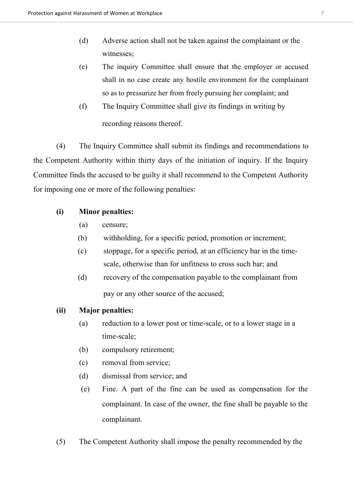- (d) Adverse action shall not be taken against the complainant or the witnesses;
- (e) The inquiry Committee shall ensure that the employer or accused shall in no case create any hostile environment for the complainant so as to pressurize her from freely pursuing her complaint; and
- (f) The Inquiry Committee shall give its findings in writing by recording reasons thereof.

(4) The Inquiry Committee shall submit its findings and recommendations to the Competent Authority within thirty days of the initiation of inquiry. If the Inquiry Committee finds the accused to be guilty it shall recommend to the Competent Authority for imposing one or more of the following penalties:

## **(i) Minor penalties:**

- (a) censure;
- (b) withholding, for a specific period, promotion or increment;
- (c) stoppage, for a specific period, at an efficiency bar in the timescale, otherwise than for unfitness to cross such bar; and
- (d) recovery of the compensation payable to the complainant from pay or any other source of the accused;

## **(ii) Major penalties:**

- (a) reduction to a lower post or time-scale, or to a lower stage in a time-scale;
- (b) compulsory retirement;
- (c) removal from service;
- (d) dismissal from service; and
- (e) Fine. A part of the fine can be used as compensation for the complainant. In case of the owner, the fine shall be payable to the complainant.
- (5) The Competent Authority shall impose the penalty recommended by the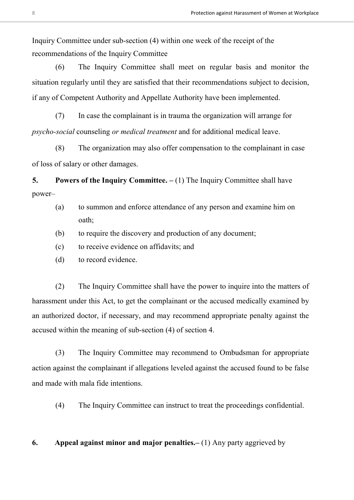Inquiry Committee under sub-section (4) within one week of the receipt of the recommendations of the Inquiry Committee

(6) The Inquiry Committee shall meet on regular basis and monitor the situation regularly until they are satisfied that their recommendations subject to decision, if any of Competent Authority and Appellate Authority have been implemented.

(7) In case the complainant is in trauma the organization will arrange for *psycho-social* counseling *or medical treatment* and for additional medical leave.

(8) The organization may also offer compensation to the complainant in case of loss of salary or other damages.

**5. Powers of the Inquiry Committee. –** (1) The Inquiry Committee shall have power–

- (a) to summon and enforce attendance of any person and examine him on oath;
- (b) to require the discovery and production of any document;
- (c) to receive evidence on affidavits; and
- (d) to record evidence.

(2) The Inquiry Committee shall have the power to inquire into the matters of harassment under this Act, to get the complainant or the accused medically examined by an authorized doctor, if necessary, and may recommend appropriate penalty against the accused within the meaning of sub-section (4) of section 4.

(3) The Inquiry Committee may recommend to Ombudsman for appropriate action against the complainant if allegations leveled against the accused found to be false and made with mala fide intentions.

(4) The Inquiry Committee can instruct to treat the proceedings confidential.

**6. Appeal against minor and major penalties.–** (1) Any party aggrieved by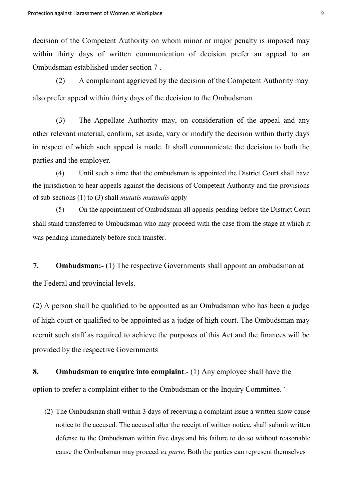decision of the Competent Authority on whom minor or major penalty is imposed may within thirty days of written communication of decision prefer an appeal to an Ombudsman established under section 7 .

(2) A complainant aggrieved by the decision of the Competent Authority may also prefer appeal within thirty days of the decision to the Ombudsman.

(3) The Appellate Authority may, on consideration of the appeal and any other relevant material, confirm, set aside, vary or modify the decision within thirty days in respect of which such appeal is made. It shall communicate the decision to both the parties and the employer.

(4) Until such a time that the ombudsman is appointed the District Court shall have the jurisdiction to hear appeals against the decisions of Competent Authority and the provisions of sub-sections (1) to (3) shall *mutatis mutandis* apply

(5) On the appointment of Ombudsman all appeals pending before the District Court shall stand transferred to Ombudsman who may proceed with the case from the stage at which it was pending immediately before such transfer.

**7. Ombudsman:-** (1) The respective Governments shall appoint an ombudsman at the Federal and provincial levels.

(2) A person shall be qualified to be appointed as an Ombudsman who has been a judge of high court or qualified to be appointed as a judge of high court. The Ombudsman may recruit such staff as required to achieve the purposes of this Act and the finances will be provided by the respective Governments

**8. Ombudsman to enquire into complaint**.- (1) Any employee shall have the

option to prefer a complaint either to the Ombudsman or the Inquiry Committee. '

(2) The Ombudsman shall within 3 days of receiving a complaint issue a written show cause notice to the accused. The accused after the receipt of written notice, shall submit written defense to the Ombudsman within five days and his failure to do so without reasonable cause the Ombudsman may proceed *ex parte*. Both the parties can represent themselves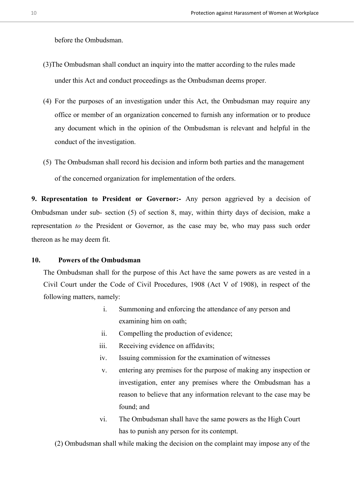before the Ombudsman.

- (3)The Ombudsman shall conduct an inquiry into the matter according to the rules made under this Act and conduct proceedings as the Ombudsman deems proper.
- (4) For the purposes of an investigation under this Act, the Ombudsman may require any office or member of an organization concerned to furnish any information or to produce any document which in the opinion of the Ombudsman is relevant and helpful in the conduct of the investigation.
- (5) The Ombudsman shall record his decision and inform both parties and the management of the concerned organization for implementation of the orders.

**9. Representation to President or Governor:-** Any person aggrieved by a decision of Ombudsman under sub- section (5) of section 8, may, within thirty days of decision, make a representation *to* the President or Governor, as the case may be, who may pass such order thereon as he may deem fit.

#### **10. Powers of the Ombudsman**

The Ombudsman shall for the purpose of this Act have the same powers as are vested in a Civil Court under the Code of Civil Procedures, 1908 (Act V of 1908), in respect of the following matters, namely:

- i. Summoning and enforcing the attendance of any person and examining him on oath;
- ii. Compelling the production of evidence;
- iii. Receiving evidence on affidavits;
- iv. Issuing commission for the examination of witnesses
- v. entering any premises for the purpose of making any inspection or investigation, enter any premises where the Ombudsman has a reason to believe that any information relevant to the case may be found; and
- vi. The Ombudsman shall have the same powers as the High Court has to punish any person for its contempt.

(2) Ombudsman shall while making the decision on the complaint may impose any of the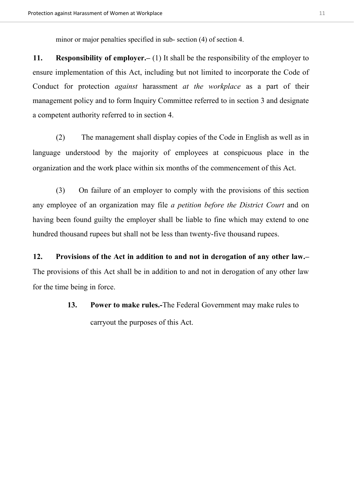minor or major penalties specified in sub- section (4) of section 4.

**11. Responsibility of employer.–** (1) It shall be the responsibility of the employer to ensure implementation of this Act, including but not limited to incorporate the Code of Conduct for protection *against* harassment *at the workplace* as a part of their management policy and to form Inquiry Committee referred to in section 3 and designate a competent authority referred to in section 4.

(2) The management shall display copies of the Code in English as well as in language understood by the majority of employees at conspicuous place in the organization and the work place within six months of the commencement of this Act.

(3) On failure of an employer to comply with the provisions of this section any employee of an organization may file *a petition before the District Court* and on having been found guilty the employer shall be liable to fine which may extend to one hundred thousand rupees but shall not be less than twenty-five thousand rupees.

**12. Provisions of the Act in addition to and not in derogation of any other law.–** The provisions of this Act shall be in addition to and not in derogation of any other law for the time being in force.

> **13. Power to make rules.-**The Federal Government may make rules to carryout the purposes of this Act.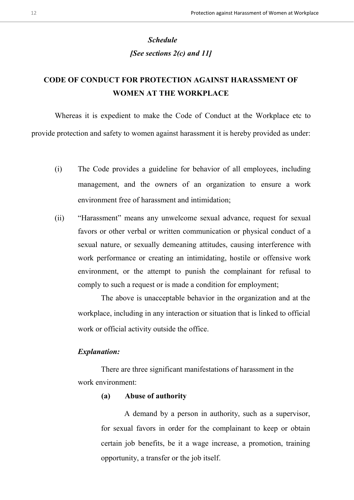#### *Schedule*

*[See sections 2(c) and 11]*

## **CODE OF CONDUCT FOR PROTECTION AGAINST HARASSMENT OF WOMEN AT THE WORKPLACE**

Whereas it is expedient to make the Code of Conduct at the Workplace etc to provide protection and safety to women against harassment it is hereby provided as under:

- (i) The Code provides a guideline for behavior of all employees, including management, and the owners of an organization to ensure a work environment free of harassment and intimidation;
- (ii) "Harassment" means any unwelcome sexual advance, request for sexual favors or other verbal or written communication or physical conduct of a sexual nature, or sexually demeaning attitudes, causing interference with work performance or creating an intimidating, hostile or offensive work environment, or the attempt to punish the complainant for refusal to comply to such a request or is made a condition for employment;

The above is unacceptable behavior in the organization and at the workplace, including in any interaction or situation that is linked to official work or official activity outside the office.

### *Explanation:*

There are three significant manifestations of harassment in the work environment:

### **(a) Abuse of authority**

A demand by a person in authority, such as a supervisor, for sexual favors in order for the complainant to keep or obtain certain job benefits, be it a wage increase, a promotion, training opportunity, a transfer or the job itself.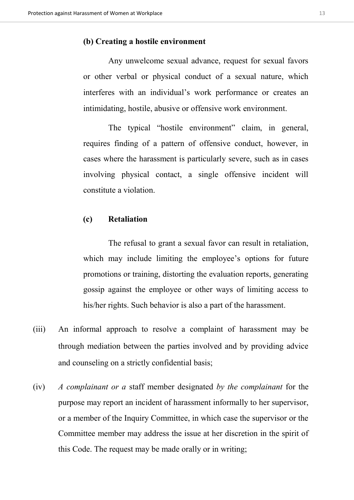## **(b) Creating a hostile environment**

Any unwelcome sexual advance, request for sexual favors or other verbal or physical conduct of a sexual nature, which interferes with an individual's work performance or creates an intimidating, hostile, abusive or offensive work environment.

The typical "hostile environment" claim, in general, requires finding of a pattern of offensive conduct, however, in cases where the harassment is particularly severe, such as in cases involving physical contact, a single offensive incident will constitute a violation.

## **(c) Retaliation**

The refusal to grant a sexual favor can result in retaliation, which may include limiting the employee's options for future promotions or training, distorting the evaluation reports, generating gossip against the employee or other ways of limiting access to his/her rights. Such behavior is also a part of the harassment.

- (iii) An informal approach to resolve a complaint of harassment may be through mediation between the parties involved and by providing advice and counseling on a strictly confidential basis;
- (iv) *A complainant or a* staff member designated *by the complainant* for the purpose may report an incident of harassment informally to her supervisor, or a member of the Inquiry Committee, in which case the supervisor or the Committee member may address the issue at her discretion in the spirit of this Code. The request may be made orally or in writing;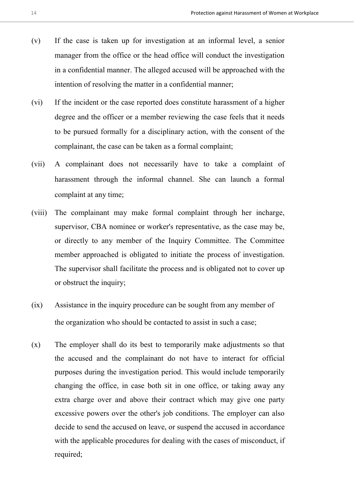- (v) If the case is taken up for investigation at an informal level, a senior manager from the office or the head office will conduct the investigation in a confidential manner. The alleged accused will be approached with the intention of resolving the matter in a confidential manner;
- (vi) If the incident or the case reported does constitute harassment of a higher degree and the officer or a member reviewing the case feels that it needs to be pursued formally for a disciplinary action, with the consent of the complainant, the case can be taken as a formal complaint;
- (vii) A complainant does not necessarily have to take a complaint of harassment through the informal channel. She can launch a formal complaint at any time;
- (viii) The complainant may make formal complaint through her incharge, supervisor, CBA nominee or worker's representative, as the case may be, or directly to any member of the Inquiry Committee. The Committee member approached is obligated to initiate the process of investigation. The supervisor shall facilitate the process and is obligated not to cover up or obstruct the inquiry;
- (ix) Assistance in the inquiry procedure can be sought from any member of the organization who should be contacted to assist in such a case;
- (x) The employer shall do its best to temporarily make adjustments so that the accused and the complainant do not have to interact for official purposes during the investigation period. This would include temporarily changing the office, in case both sit in one office, or taking away any extra charge over and above their contract which may give one party excessive powers over the other's job conditions. The employer can also decide to send the accused on leave, or suspend the accused in accordance with the applicable procedures for dealing with the cases of misconduct, if required;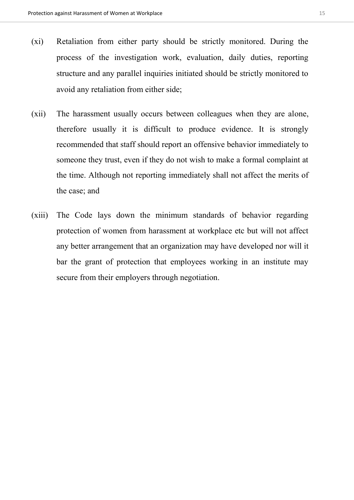- (xi) Retaliation from either party should be strictly monitored. During the process of the investigation work, evaluation, daily duties, reporting structure and any parallel inquiries initiated should be strictly monitored to avoid any retaliation from either side;
- (xii) The harassment usually occurs between colleagues when they are alone, therefore usually it is difficult to produce evidence. It is strongly recommended that staff should report an offensive behavior immediately to someone they trust, even if they do not wish to make a formal complaint at the time. Although not reporting immediately shall not affect the merits of the case; and
- (xiii) The Code lays down the minimum standards of behavior regarding protection of women from harassment at workplace etc but will not affect any better arrangement that an organization may have developed nor will it bar the grant of protection that employees working in an institute may secure from their employers through negotiation.